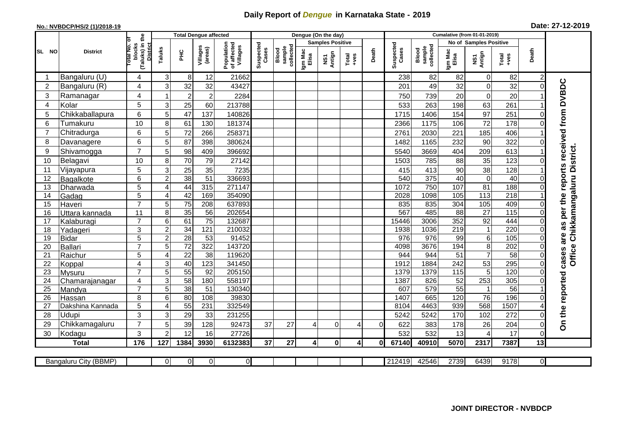## **Daily Report of** *Dengue* **in Karnataka State - 2019**

## **No.: NVBDCP/HS/2 (1)/2018-19**

| Date: 27-12-2019 |  |  |  |
|------------------|--|--|--|
|------------------|--|--|--|

|                |                       | <b>Total Dengue affected</b>             |                 |                 |                     |                                       |                    |                              |                  | Dengue (On the day)     |                                                                                                                                                                                                                                                                                                                                                                                                             |          |                    |                              |                   |                        |                   |                         |                                        |
|----------------|-----------------------|------------------------------------------|-----------------|-----------------|---------------------|---------------------------------------|--------------------|------------------------------|------------------|-------------------------|-------------------------------------------------------------------------------------------------------------------------------------------------------------------------------------------------------------------------------------------------------------------------------------------------------------------------------------------------------------------------------------------------------------|----------|--------------------|------------------------------|-------------------|------------------------|-------------------|-------------------------|----------------------------------------|
|                |                       |                                          |                 |                 |                     |                                       |                    |                              |                  | <b>Samples Positive</b> |                                                                                                                                                                                                                                                                                                                                                                                                             |          |                    |                              |                   | No of Samples Positive |                   |                         |                                        |
| SL NO          | <b>District</b>       | (Taluks) in the<br>otal No. ol<br>blocks | Taluks          | $rac{C}{\pi}$   | Villages<br>(areas) | Population<br>of affected<br>Villages | Suspected<br>Cases | sample<br>collected<br>Blood | Igm Mac<br>Elisa | NS1<br>Antign           | $\begin{array}{c}\n\text{Total} \\ \text{1-3} \\ \text{1-4} \\ \text{1-5} \\ \text{1-5} \\ \text{1-6} \\ \text{1-6} \\ \text{1-6} \\ \text{1-6} \\ \text{1-6} \\ \text{1-6} \\ \text{1-6} \\ \text{1-6} \\ \text{1-6} \\ \text{1-6} \\ \text{1-6} \\ \text{1-6} \\ \text{1-6} \\ \text{1-6} \\ \text{1-6} \\ \text{1-6} \\ \text{1-6} \\ \text{1-6} \\ \text{1-6} \\ \text{1-6} \\ \text{1-6} \\ \text{1-6$ | Death    | Suspected<br>Cases | collected<br>sample<br>Blood | Igm Mac<br>Elisa  | NS1<br>Antign          | $Tota$<br>$+ves$  | Death                   |                                        |
|                | Bangaluru (U)         | 4                                        | 3               | 8               | 12                  | 21662                                 |                    |                              |                  |                         |                                                                                                                                                                                                                                                                                                                                                                                                             |          | 238                | 82                           | 82                | 0                      | 82                | $\overline{2}$          |                                        |
| $\overline{2}$ | Bangaluru (R)         | 4                                        | 3               | 32              | 32                  | 43427                                 |                    |                              |                  |                         |                                                                                                                                                                                                                                                                                                                                                                                                             |          | 201                | 49                           | 32                | $\mathbf 0$            | 32                | $\Omega$                |                                        |
| 3              | Ramanagar             | 4                                        |                 | $\overline{2}$  | $\overline{c}$      | 2284                                  |                    |                              |                  |                         |                                                                                                                                                                                                                                                                                                                                                                                                             |          | 750                | 739                          | 20                | $\boldsymbol{0}$       | 20                |                         | as per the reports received from DVBDC |
| 4              | Kolar                 | 5                                        | 3               | 25              | 60                  | 213788                                |                    |                              |                  |                         |                                                                                                                                                                                                                                                                                                                                                                                                             |          | 533                | 263                          | 198               | 63                     | 261               |                         |                                        |
| 5              | Chikkaballapura       | 6                                        | 5               | 47              | 137                 | 140826                                |                    |                              |                  |                         |                                                                                                                                                                                                                                                                                                                                                                                                             |          | 1715               | 1406                         | 154               | 97                     | 251               | 0                       |                                        |
| 6              | Tumakuru              | 10                                       | 8               | 61              | 130                 | 181374                                |                    |                              |                  |                         |                                                                                                                                                                                                                                                                                                                                                                                                             |          | 2366               | 1175                         | 106               | 72                     | 178               | 0                       |                                        |
| 7              | Chitradurga           | 6                                        | 5               | 72              | 266                 | 258371                                |                    |                              |                  |                         |                                                                                                                                                                                                                                                                                                                                                                                                             |          | 2761               | 2030                         | 221               | 185                    | 406               |                         |                                        |
| 8              | Davanagere            | 6                                        | 5               | 87              | 398                 | 380624                                |                    |                              |                  |                         |                                                                                                                                                                                                                                                                                                                                                                                                             |          | 1482               | 1165                         | 232               | 90                     | 322               | 0                       |                                        |
| 9              | Shivamogga            | $\overline{7}$                           | 5               | 98              | 409                 | 396692                                |                    |                              |                  |                         |                                                                                                                                                                                                                                                                                                                                                                                                             |          | 5540               | 3669                         | 404               | 209                    | 613               |                         | Office Chikkamangaluru District.       |
| 10             | Belagavi              | 10                                       | 8               | 70              | 79                  | 27142                                 |                    |                              |                  |                         |                                                                                                                                                                                                                                                                                                                                                                                                             |          | 1503               | 785                          | 88                | 35                     | 123               |                         |                                        |
| 11             | Vijayapura            | 5                                        | 3               | 25              | 35                  | 7235                                  |                    |                              |                  |                         |                                                                                                                                                                                                                                                                                                                                                                                                             |          | 415                | 413                          | 90                | 38                     | 128               |                         |                                        |
| 12             | Bagalkote             | 6                                        | $\overline{2}$  | 38              | $\overline{51}$     | 336693                                |                    |                              |                  |                         |                                                                                                                                                                                                                                                                                                                                                                                                             |          | 540                | 375                          | 40                | $\overline{0}$         | 40                | $\Omega$                |                                        |
| 13             | Dharwada              | 5                                        | 4               | 44              | 315                 | 271147                                |                    |                              |                  |                         |                                                                                                                                                                                                                                                                                                                                                                                                             |          | 1072               | 750                          | 107               | 81                     | 188               | $\Omega$                |                                        |
| 14             | Gadag                 | 5                                        | $\overline{4}$  | 42              | 169                 | 354090                                |                    |                              |                  |                         |                                                                                                                                                                                                                                                                                                                                                                                                             |          | 2028               | 1098                         | $\frac{105}{105}$ | 113                    | $\overline{218}$  |                         |                                        |
| 15             | Haveri                | $\overline{7}$                           | 5               | 75              | 208                 | 637893                                |                    |                              |                  |                         |                                                                                                                                                                                                                                                                                                                                                                                                             |          | 835                | 835                          | 304               | 105                    | 409               | $\Omega$                |                                        |
| 16             | Uttara kannada        | 11                                       | 8               | 35              | 56                  | 202654                                |                    |                              |                  |                         |                                                                                                                                                                                                                                                                                                                                                                                                             |          | 567                | 485                          | $\overline{88}$   | $\overline{27}$        | $\frac{115}{115}$ | $\Omega$                |                                        |
| 17             | Kalaburagi            | $\overline{7}$                           | $6\phantom{1}6$ | 61              | $\overline{75}$     | 132687                                |                    |                              |                  |                         |                                                                                                                                                                                                                                                                                                                                                                                                             |          | 15446              | 3006                         | 352               | 92                     | 444               | $\Omega$                |                                        |
| 18             | Yadageri              | 3                                        | $\overline{c}$  | 34              | 121                 | 210032                                |                    |                              |                  |                         |                                                                                                                                                                                                                                                                                                                                                                                                             |          | 1938               | 1036                         | 219               | $\mathbf{1}$           | 220               | 0                       |                                        |
| 19             | <b>Bidar</b>          | 5                                        | $\overline{2}$  | 28              | $\overline{53}$     | 91452                                 |                    |                              |                  |                         |                                                                                                                                                                                                                                                                                                                                                                                                             |          | 976                | 976                          | 99                | $\,6$                  | 105               | 0                       | are                                    |
| 20             | <b>Ballari</b>        | $\overline{7}$                           | 5               | 72              | 322                 | 143720                                |                    |                              |                  |                         |                                                                                                                                                                                                                                                                                                                                                                                                             |          | 4098               | 3676                         | 194               | 8                      | 202               | 0                       |                                        |
| 21             | Raichur               | 5                                        | 4               | $\overline{22}$ | $\overline{38}$     | 119620                                |                    |                              |                  |                         |                                                                                                                                                                                                                                                                                                                                                                                                             |          | 944                | 944                          | $\overline{51}$   | $\overline{7}$         | 58                | $\Omega$                | cases                                  |
| 22             | Koppal                | 4                                        | 3               | 40              | 123                 | 341450                                |                    |                              |                  |                         |                                                                                                                                                                                                                                                                                                                                                                                                             |          | 1912               | 1884                         | 242               | 53                     | 295               | $\Omega$                |                                        |
| 23             | Mysuru                | $\overline{7}$                           | $\overline{5}$  | 55              | 92                  | 205150                                |                    |                              |                  |                         |                                                                                                                                                                                                                                                                                                                                                                                                             |          | 1379               | 1379                         | $\frac{115}{115}$ | $\overline{5}$         | 120               | $\Omega$                |                                        |
| 24             | Chamarajanagar        | 4                                        | 3               | $\overline{58}$ | 180                 | 558197                                |                    |                              |                  |                         |                                                                                                                                                                                                                                                                                                                                                                                                             |          | 1387               | 826                          | 52                | 253                    | 305               | 0                       |                                        |
| 25             | Mandya                | $\overline{7}$                           | 5               | $\overline{38}$ | 51                  | 130340                                |                    |                              |                  |                         |                                                                                                                                                                                                                                                                                                                                                                                                             |          | 607                | 579                          | $\overline{55}$   | $\mathbf{1}$           | $\overline{56}$   |                         |                                        |
| 26             | Hassan                | 8                                        | 6               | 80              | 108                 | 39830                                 |                    |                              |                  |                         |                                                                                                                                                                                                                                                                                                                                                                                                             |          | 1407               | 665                          | 120               | $\overline{76}$        | 196               | 0                       |                                        |
| 27             | Dakshina Kannada      | 5                                        | 4               | 55              | 231                 | 332549                                |                    |                              |                  |                         |                                                                                                                                                                                                                                                                                                                                                                                                             |          | 8104               | 4463                         | 939               | 568                    | 1507              |                         |                                        |
| 28             | Udupi                 | 3                                        | 3               | 29              | 33                  | 231255                                |                    |                              |                  |                         |                                                                                                                                                                                                                                                                                                                                                                                                             |          | 5242               | 5242                         | 170               | 102                    | 272               |                         | On the reported                        |
| 29             | Chikkamagaluru        | $\overline{7}$                           | 5               | 39              | 128                 | 92473                                 | 37                 | 27                           |                  | $\Omega$                | 4                                                                                                                                                                                                                                                                                                                                                                                                           | $\Omega$ | 622                | 383                          | 178               | 26                     | 204               | 0                       |                                        |
| 30             | Kodagu                | 3                                        | $\overline{2}$  | 12              | 16                  | 27726                                 |                    |                              |                  |                         |                                                                                                                                                                                                                                                                                                                                                                                                             |          | 532                | 532                          | 13                | $\overline{4}$         | 17                | $\Omega$                |                                        |
|                | <b>Total</b>          | 176                                      | 127             | 1384            | 3930                | 6132383                               | 37                 | 27                           | 4                | $\mathbf 0$             | 4                                                                                                                                                                                                                                                                                                                                                                                                           | 0l       | 67140              | 40910                        | 5070              | 2317                   | 7387              | 13                      |                                        |
|                | Bangaluru City (BBMP) |                                          | $\Omega$        | $\overline{0}$  | $\overline{0}$      | $\overline{0}$                        |                    |                              |                  |                         |                                                                                                                                                                                                                                                                                                                                                                                                             |          | 212419             | 42546                        | 2739              | 6439                   | 9178              | $\overline{\mathsf{Q}}$ |                                        |